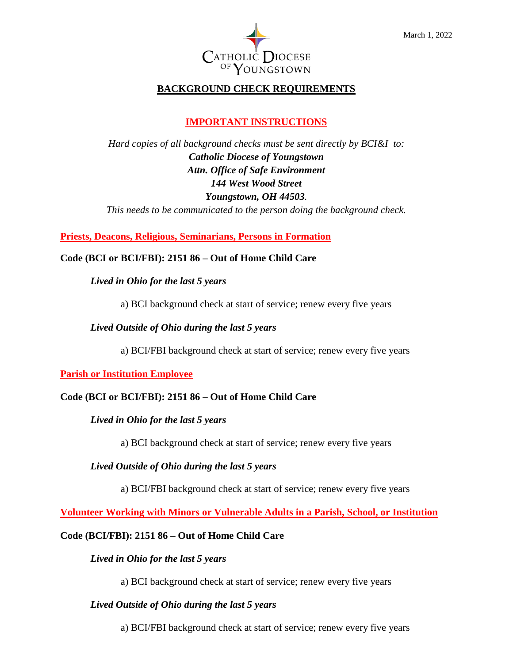

# **BACKGROUND CHECK REQUIREMENTS**

# **IMPORTANT INSTRUCTIONS**

*Hard copies of all background checks must be sent directly by BCI&I to: Catholic Diocese of Youngstown Attn. Office of Safe Environment 144 West Wood Street Youngstown, OH 44503.* 

*This needs to be communicated to the person doing the background check.*

## **Priests, Deacons, Religious, Seminarians, Persons in Formation**

## **Code (BCI or BCI/FBI): 2151 86 – Out of Home Child Care**

## *Lived in Ohio for the last 5 years*

a) BCI background check at start of service; renew every five years

### *Lived Outside of Ohio during the last 5 years*

a) BCI/FBI background check at start of service; renew every five years

### **Parish or Institution Employee**

## **Code (BCI or BCI/FBI): 2151 86 – Out of Home Child Care**

### *Lived in Ohio for the last 5 years*

a) BCI background check at start of service; renew every five years

## *Lived Outside of Ohio during the last 5 years*

a) BCI/FBI background check at start of service; renew every five years

**Volunteer Working with Minors or Vulnerable Adults in a Parish, School, or Institution**

### **Code (BCI/FBI): 2151 86 – Out of Home Child Care**

### *Lived in Ohio for the last 5 years*

a) BCI background check at start of service; renew every five years

## *Lived Outside of Ohio during the last 5 years*

a) BCI/FBI background check at start of service; renew every five years